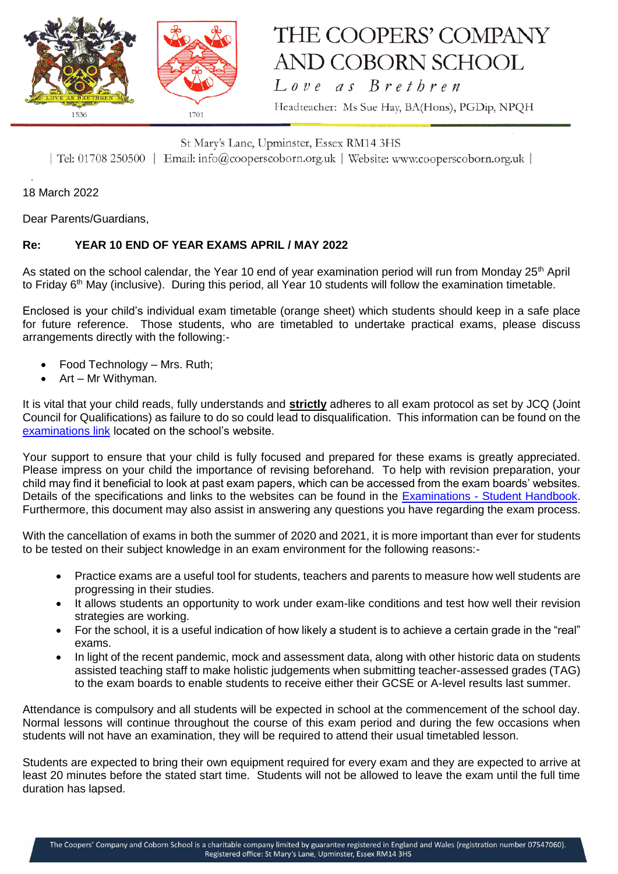

## THE COOPERS' COMPANY AND COBORN SCHOOL  $Love$  as  $B$ rethren

Headteacher: Ms Sue Hay, BA(Hons), PGDip, NPQH

St Mary's Lane, Upminster, Essex RM14 3HS | Tel: 01708 250500 | Email: info@cooperscoborn.org.uk | Website: www.cooperscoborn.org.uk |

18 March 2022

Dear Parents/Guardians,

## **Re: YEAR 10 END OF YEAR EXAMS APRIL / MAY 2022**

As stated on the school calendar, the Year 10 end of year examination period will run from Monday 25<sup>th</sup> April to Friday 6<sup>th</sup> May (inclusive). During this period, all Year 10 students will follow the examination timetable.

Enclosed is your child's individual exam timetable (orange sheet) which students should keep in a safe place for future reference. Those students, who are timetabled to undertake practical exams, please discuss arrangements directly with the following:-

- Food Technology Mrs. Ruth;
- Art Mr Withyman.

It is vital that your child reads, fully understands and **strictly** adheres to all exam protocol as set by JCQ (Joint Council for Qualifications) as failure to do so could lead to disqualification. This information can be found on the [examinations link](https://www.cooperscoborn.org.uk/examinations/#tab-id-2) located on the school's website.

Your support to ensure that your child is fully focused and prepared for these exams is greatly appreciated. Please impress on your child the importance of revising beforehand. To help with revision preparation, your child may find it beneficial to look at past exam papers, which can be accessed from the exam boards' websites. Details of the specifications and links to the websites can be found in the Examinations - [Student Handbook.](https://www.cooperscoborn.org.uk/wp-content/uploads/2021/11/Student-Examination-handbook.pdf) Furthermore, this document may also assist in answering any questions you have regarding the exam process.

With the cancellation of exams in both the summer of 2020 and 2021, it is more important than ever for students to be tested on their subject knowledge in an exam environment for the following reasons:-

- Practice exams are a useful tool for students, teachers and parents to measure how well students are progressing in their studies.
- It allows students an opportunity to work under exam-like conditions and test how well their revision strategies are working.
- For the school, it is a useful indication of how likely a student is to achieve a certain grade in the "real" exams.
- In light of the recent pandemic, mock and assessment data, along with other historic data on students assisted teaching staff to make holistic judgements when submitting teacher-assessed grades (TAG) to the exam boards to enable students to receive either their GCSE or A-level results last summer.

Attendance is compulsory and all students will be expected in school at the commencement of the school day. Normal lessons will continue throughout the course of this exam period and during the few occasions when students will not have an examination, they will be required to attend their usual timetabled lesson.

Students are expected to bring their own equipment required for every exam and they are expected to arrive at least 20 minutes before the stated start time. Students will not be allowed to leave the exam until the full time duration has lapsed.